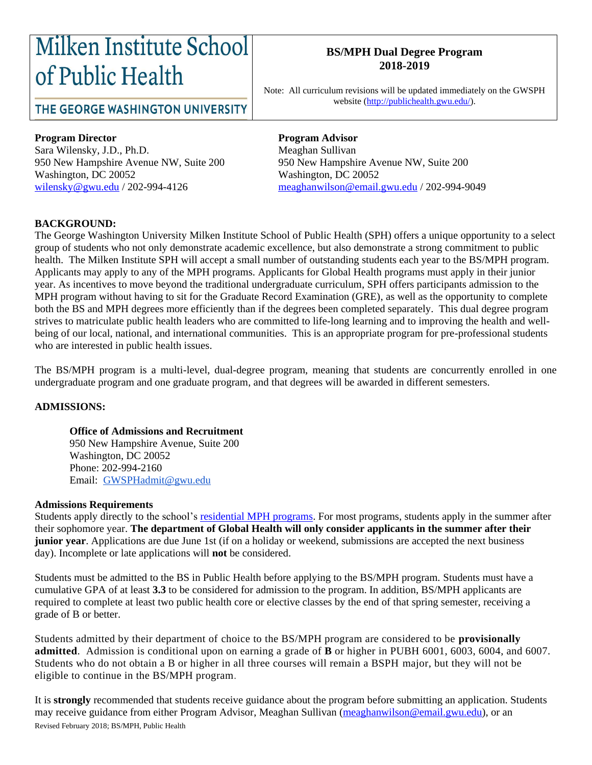# Milken Institute School of Public Health

### THE GEORGE WASHINGTON UNIVERSITY

#### **BS/MPH Dual Degree Program 2018-2019**

Note: All curriculum revisions will be updated immediately on the GWSPH website [\(http://publichealth.gwu.edu/\)](http://publichealth.gwu.edu/).

#### **Program Director Program Advisor**

Sara Wilensky, J.D., Ph.D. Meaghan Sullivan Washington, DC 20052 Washington, DC 20052

950 New Hampshire Avenue NW, Suite 200 950 New Hampshire Avenue NW, Suite 200 [wilensky@gwu.edu](mailto:wilensky@gwu.edu) / 202-994-4126 [meaghanwilson@email.gwu.edu](mailto:meaghanwilson@email.gwu.edu) / 202-994-9049

#### **BACKGROUND:**

The George Washington University Milken Institute School of Public Health (SPH) offers a unique opportunity to a select group of students who not only demonstrate academic excellence, but also demonstrate a strong commitment to public health. The Milken Institute SPH will accept a small number of outstanding students each year to the BS/MPH program. Applicants may apply to any of the MPH programs. Applicants for Global Health programs must apply in their junior year. As incentives to move beyond the traditional undergraduate curriculum, SPH offers participants admission to the MPH program without having to sit for the Graduate Record Examination (GRE), as well as the opportunity to complete both the BS and MPH degrees more efficiently than if the degrees been completed separately. This dual degree program strives to matriculate public health leaders who are committed to life-long learning and to improving the health and wellbeing of our local, national, and international communities. This is an appropriate program for pre-professional students who are interested in public health issues.

The BS/MPH program is a multi-level, dual-degree program, meaning that students are concurrently enrolled in one undergraduate program and one graduate program, and that degrees will be awarded in different semesters.

#### **ADMISSIONS:**

#### **Office of Admissions and Recruitment**

950 New Hampshire Avenue, Suite 200 Washington, DC 20052 Phone: 202-994-2160 Email: [GWSPHadmit@gwu.edu](mailto:GWSPHadmit@gwu.edu)

#### **Admissions Requirements**

Students apply directly to the school's residential [MPH programs.](http://publichealth.gwu.edu/academics/graduate/masters-programs) For most programs, students apply in the summer after their sophomore year. **The department of Global Health will only consider applicants in the summer after their junior year**. Applications are due June 1st (if on a holiday or weekend, submissions are accepted the next business day). Incomplete or late applications will **not** be considered.

Students must be admitted to the BS in Public Health before applying to the BS/MPH program. Students must have a cumulative GPA of at least **3.3** to be considered for admission to the program. In addition, BS/MPH applicants are required to complete at least two public health core or elective classes by the end of that spring semester, receiving a grade of B or better.

Students admitted by their department of choice to the BS/MPH program are considered to be **provisionally admitted**. Admission is conditional upon on earning a grade of **B** or higher in PUBH 6001, 6003, 6004, and 6007. Students who do not obtain a B or higher in all three courses will remain a BSPH major, but they will not be eligible to continue in the BS/MPH program.

Revised February 2018; BS/MPH, Public Health It is **strongly** recommended that students receive guidance about the program before submitting an application. Students may receive guidance from either Program Advisor, Meaghan Sullivan [\(meaghanwilson@email.gwu.edu\)](mailto:meaghanwilson@email.gwu.edu), or an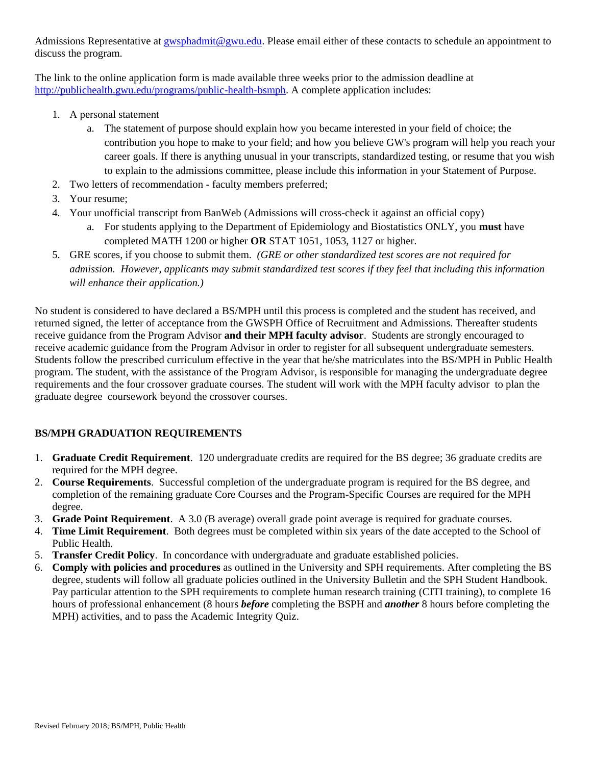Admissions Representative at [gwsphadmit@gwu.edu.](mailto:gwsphadmit@gwu.edu) Please email either of these contacts to schedule an appointment to discuss the program.

The link to the online application form is made available three weeks prior to the admission deadline at [http://publichealth.gwu.edu/programs/public-health-bsmph.](http://publichealth.gwu.edu/programs/public-health-bsmph) A complete application includes:

- 1. A personal statement
	- a. The statement of purpose should explain how you became interested in your field of choice; the contribution you hope to make to your field; and how you believe GW's program will help you reach your career goals. If there is anything unusual in your transcripts, standardized testing, or resume that you wish to explain to the admissions committee, please include this information in your Statement of Purpose.
- 2. Two letters of recommendation faculty members preferred;
- 3. Your resume;
- 4. Your unofficial transcript from BanWeb (Admissions will cross-check it against an official copy)
	- a. For students applying to the Department of Epidemiology and Biostatistics ONLY, you **must** have completed MATH 1200 or higher **OR** STAT 1051, 1053, 1127 or higher.
- 5. GRE scores, if you choose to submit them. *(GRE or other standardized test scores are not required for admission. However, applicants may submit standardized test scores if they feel that including this information will enhance their application.)*

No student is considered to have declared a BS/MPH until this process is completed and the student has received, and returned signed, the letter of acceptance from the GWSPH Office of Recruitment and Admissions. Thereafter students receive guidance from the Program Advisor **and their MPH faculty advisor**. Students are strongly encouraged to receive academic guidance from the Program Advisor in order to register for all subsequent undergraduate semesters. Students follow the prescribed curriculum effective in the year that he/she matriculates into the BS/MPH in Public Health program. The student, with the assistance of the Program Advisor, is responsible for managing the undergraduate degree requirements and the four crossover graduate courses. The student will work with the MPH faculty advisor to plan the graduate degree coursework beyond the crossover courses.

#### **BS/MPH GRADUATION REQUIREMENTS**

- 1. **Graduate Credit Requirement**. 120 undergraduate credits are required for the BS degree; 36 graduate credits are required for the MPH degree.
- 2. **Course Requirements**. Successful completion of the undergraduate program is required for the BS degree, and completion of the remaining graduate Core Courses and the Program-Specific Courses are required for the MPH degree.
- 3. **Grade Point Requirement**. A 3.0 (B average) overall grade point average is required for graduate courses.
- 4. **Time Limit Requirement**. Both degrees must be completed within six years of the date accepted to the School of Public Health.
- 5. **Transfer Credit Policy**. In concordance with undergraduate and graduate established policies.
- 6. **Comply with policies and procedures** as outlined in the University and SPH requirements. After completing the BS degree, students will follow all graduate policies outlined in the University Bulletin and the SPH Student Handbook. Pay particular attention to the SPH requirements to complete human research training (CITI training), to complete 16 hours of professional enhancement (8 hours *before* completing the BSPH and *another* 8 hours before completing the MPH) activities, and to pass the Academic Integrity Quiz.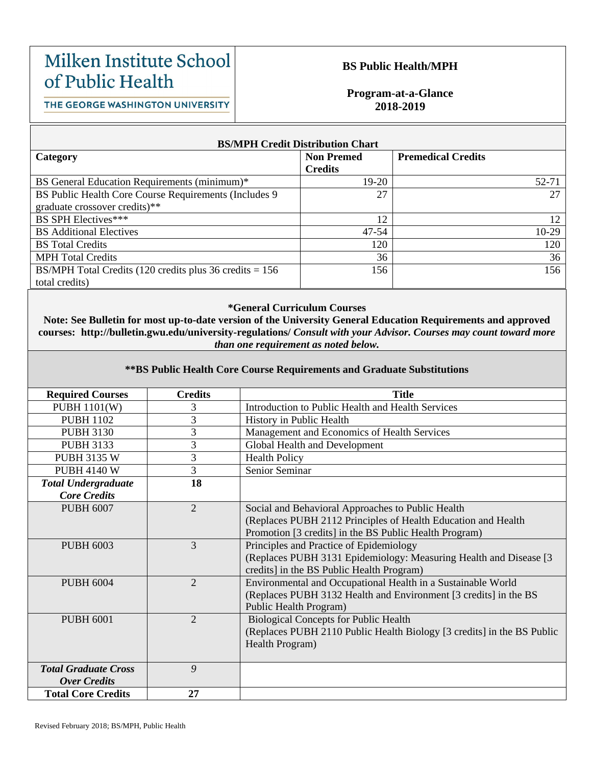## Milken Institute School of Public Health

THE GEORGE WASHINGTON UNIVERSITY

#### **BS Public Health/MPH**

**Program-at-a-Glance 2018-2019**

**BS/MPH Credit Distribution Chart Category Non Premed Credits Premedical Credits** BS General Education Requirements (minimum)\* 19-20 19-20 BS Public Health Core Course Requirements (Includes 9 graduate crossover credits)\*\* 27 27 BS SPH Electives\*\*\* 12 BS Additional Electives 10-29 BS Total Credits 120 120 MPH Total Credits 36 36 BS/MPH Total Credits (120 credits plus 36 credits = 156 total credits) 156 156

#### **\*General Curriculum Courses**

**Note: See Bulletin for most up-to-date version of the University General Education Requirements and approved courses: http://bulletin.gwu.edu/university-regulations/** *Consult with your Advisor. Courses may count toward more than one requirement as noted below.*

#### **\*\*BS Public Health Core Course Requirements and Graduate Substitutions**

| <b>Required Courses</b>     | <b>Credits</b> | Title                                                                  |
|-----------------------------|----------------|------------------------------------------------------------------------|
| <b>PUBH 1101(W)</b>         | 3              | Introduction to Public Health and Health Services                      |
| <b>PUBH 1102</b>            | 3              | History in Public Health                                               |
| <b>PUBH 3130</b>            | 3              | Management and Economics of Health Services                            |
| <b>PUBH 3133</b>            | 3              | Global Health and Development                                          |
| <b>PUBH 3135 W</b>          | 3              | <b>Health Policy</b>                                                   |
| <b>PUBH 4140 W</b>          | 3              | Senior Seminar                                                         |
| <b>Total Undergraduate</b>  | 18             |                                                                        |
| <b>Core Credits</b>         |                |                                                                        |
| <b>PUBH 6007</b>            | $\overline{2}$ | Social and Behavioral Approaches to Public Health                      |
|                             |                | (Replaces PUBH 2112 Principles of Health Education and Health          |
|                             |                | Promotion [3 credits] in the BS Public Health Program)                 |
| <b>PUBH 6003</b>            | $\mathfrak{Z}$ | Principles and Practice of Epidemiology                                |
|                             |                | (Replaces PUBH 3131 Epidemiology: Measuring Health and Disease [3]     |
|                             |                | credits] in the BS Public Health Program)                              |
| <b>PUBH 6004</b>            | $\overline{2}$ | Environmental and Occupational Health in a Sustainable World           |
|                             |                | (Replaces PUBH 3132 Health and Environment [3 credits] in the BS       |
|                             |                | Public Health Program)                                                 |
| <b>PUBH 6001</b>            | $\overline{2}$ | <b>Biological Concepts for Public Health</b>                           |
|                             |                | (Replaces PUBH 2110 Public Health Biology [3 credits] in the BS Public |
|                             |                | Health Program)                                                        |
|                             |                |                                                                        |
| <b>Total Graduate Cross</b> | 9              |                                                                        |
| <b>Over Credits</b>         |                |                                                                        |
| <b>Total Core Credits</b>   | 27             |                                                                        |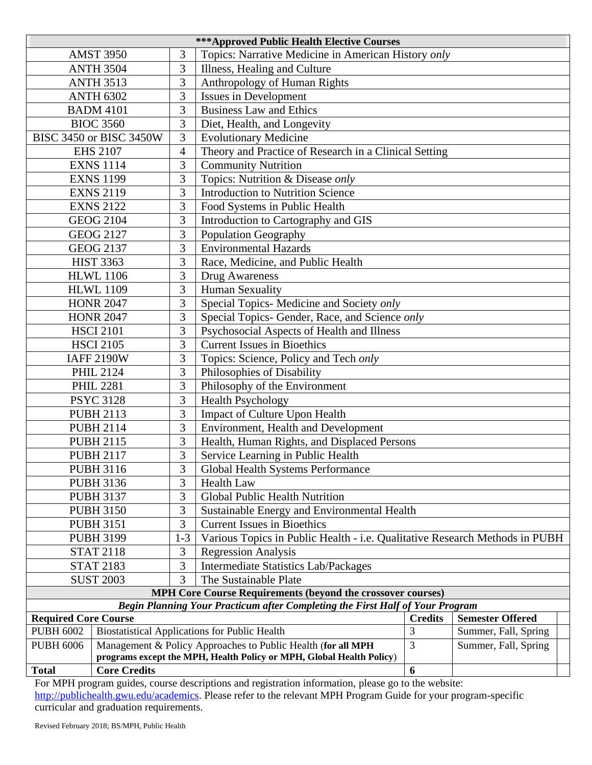| <b>***Approved Public Health Elective Courses</b>                        |                                                                      |                                             |                                                                               |                         |                      |  |  |  |
|--------------------------------------------------------------------------|----------------------------------------------------------------------|---------------------------------------------|-------------------------------------------------------------------------------|-------------------------|----------------------|--|--|--|
|                                                                          | <b>AMST 3950</b>                                                     | 3                                           | Topics: Narrative Medicine in American History only                           |                         |                      |  |  |  |
|                                                                          | <b>ANTH 3504</b>                                                     | 3                                           | Illness, Healing and Culture                                                  |                         |                      |  |  |  |
|                                                                          | <b>ANTH 3513</b>                                                     | 3                                           | Anthropology of Human Rights                                                  |                         |                      |  |  |  |
|                                                                          | <b>ANTH 6302</b>                                                     | 3                                           | <b>Issues in Development</b>                                                  |                         |                      |  |  |  |
|                                                                          | <b>BADM 4101</b>                                                     | 3                                           | <b>Business Law and Ethics</b>                                                |                         |                      |  |  |  |
|                                                                          | <b>BIOC 3560</b>                                                     | 3                                           | Diet, Health, and Longevity                                                   |                         |                      |  |  |  |
|                                                                          | <b>BISC 3450 or BISC 3450W</b>                                       | 3                                           | <b>Evolutionary Medicine</b>                                                  |                         |                      |  |  |  |
|                                                                          | <b>EHS 2107</b>                                                      | 4                                           | Theory and Practice of Research in a Clinical Setting                         |                         |                      |  |  |  |
|                                                                          | <b>EXNS 1114</b>                                                     | 3                                           | <b>Community Nutrition</b>                                                    |                         |                      |  |  |  |
|                                                                          | <b>EXNS 1199</b>                                                     | 3                                           | Topics: Nutrition & Disease only                                              |                         |                      |  |  |  |
|                                                                          | <b>EXNS 2119</b>                                                     | 3                                           | <b>Introduction to Nutrition Science</b>                                      |                         |                      |  |  |  |
|                                                                          | <b>EXNS 2122</b>                                                     | 3                                           | Food Systems in Public Health                                                 |                         |                      |  |  |  |
|                                                                          | <b>GEOG 2104</b>                                                     | 3                                           | Introduction to Cartography and GIS                                           |                         |                      |  |  |  |
|                                                                          | <b>GEOG 2127</b>                                                     | 3                                           | <b>Population Geography</b>                                                   |                         |                      |  |  |  |
|                                                                          | <b>GEOG 2137</b>                                                     | 3                                           | <b>Environmental Hazards</b>                                                  |                         |                      |  |  |  |
|                                                                          | <b>HIST 3363</b>                                                     | 3                                           | Race, Medicine, and Public Health                                             |                         |                      |  |  |  |
|                                                                          | <b>HLWL 1106</b>                                                     | 3                                           | Drug Awareness                                                                |                         |                      |  |  |  |
|                                                                          | <b>HLWL 1109</b>                                                     | 3                                           | <b>Human Sexuality</b>                                                        |                         |                      |  |  |  |
|                                                                          | <b>HONR 2047</b>                                                     | 3                                           | Special Topics- Medicine and Society only                                     |                         |                      |  |  |  |
|                                                                          | <b>HONR 2047</b>                                                     | 3                                           | Special Topics- Gender, Race, and Science only                                |                         |                      |  |  |  |
|                                                                          | <b>HSCI 2101</b>                                                     | 3                                           | Psychosocial Aspects of Health and Illness                                    |                         |                      |  |  |  |
|                                                                          | <b>HSCI 2105</b>                                                     | 3                                           | <b>Current Issues in Bioethics</b>                                            |                         |                      |  |  |  |
|                                                                          | <b>IAFF 2190W</b>                                                    | 3                                           | Topics: Science, Policy and Tech only                                         |                         |                      |  |  |  |
| <b>PHIL 2124</b>                                                         |                                                                      | 3                                           | Philosophies of Disability                                                    |                         |                      |  |  |  |
|                                                                          | <b>PHIL 2281</b>                                                     | 3                                           | Philosophy of the Environment                                                 |                         |                      |  |  |  |
|                                                                          | <b>PSYC 3128</b>                                                     | 3                                           | <b>Health Psychology</b>                                                      |                         |                      |  |  |  |
| <b>PUBH 2113</b>                                                         |                                                                      | 3                                           | Impact of Culture Upon Health                                                 |                         |                      |  |  |  |
| <b>PUBH 2114</b>                                                         |                                                                      | 3                                           | Environment, Health and Development                                           |                         |                      |  |  |  |
| 3<br><b>PUBH 2115</b>                                                    |                                                                      | Health, Human Rights, and Displaced Persons |                                                                               |                         |                      |  |  |  |
| <b>PUBH 2117</b>                                                         |                                                                      | 3                                           | Service Learning in Public Health                                             |                         |                      |  |  |  |
| 3<br><b>PUBH 3116</b><br>Global Health Systems Performance               |                                                                      |                                             |                                                                               |                         |                      |  |  |  |
| 3<br><b>PUBH 3136</b><br><b>Health Law</b>                               |                                                                      |                                             |                                                                               |                         |                      |  |  |  |
| <b>PUBH 3137</b>                                                         |                                                                      | 3                                           | Global Public Health Nutrition                                                |                         |                      |  |  |  |
| 3<br><b>PUBH 3150</b>                                                    |                                                                      |                                             | Sustainable Energy and Environmental Health                                   |                         |                      |  |  |  |
|                                                                          | <b>PUBH 3151</b>                                                     | 3                                           | <b>Current Issues in Bioethics</b>                                            |                         |                      |  |  |  |
|                                                                          | <b>PUBH 3199</b>                                                     | $1 - 3$                                     | Various Topics in Public Health - i.e. Qualitative Research Methods in PUBH   |                         |                      |  |  |  |
|                                                                          | <b>STAT 2118</b>                                                     | 3                                           | <b>Regression Analysis</b>                                                    |                         |                      |  |  |  |
|                                                                          | <b>STAT 2183</b>                                                     | 3                                           | <b>Intermediate Statistics Lab/Packages</b>                                   |                         |                      |  |  |  |
| <b>SUST 2003</b>                                                         |                                                                      | 3                                           | The Sustainable Plate                                                         |                         |                      |  |  |  |
| <b>MPH Core Course Requirements (beyond the crossover courses)</b>       |                                                                      |                                             |                                                                               |                         |                      |  |  |  |
|                                                                          |                                                                      |                                             | Begin Planning Your Practicum after Completing the First Half of Your Program |                         |                      |  |  |  |
| <b>Required Core Course</b>                                              |                                                                      |                                             | <b>Credits</b>                                                                | <b>Semester Offered</b> |                      |  |  |  |
| <b>Biostatistical Applications for Public Health</b><br><b>PUBH 6002</b> |                                                                      |                                             | 3                                                                             | Summer, Fall, Spring    |                      |  |  |  |
| <b>PUBH 6006</b>                                                         | Management & Policy Approaches to Public Health (for all MPH         |                                             |                                                                               | 3                       | Summer, Fall, Spring |  |  |  |
|                                                                          | programs except the MPH, Health Policy or MPH, Global Health Policy) |                                             |                                                                               | $\boldsymbol{6}$        |                      |  |  |  |
| <b>Total</b>                                                             | <b>Core Credits</b>                                                  |                                             |                                                                               |                         |                      |  |  |  |

For MPH program guides, course descriptions and registration information, please go to the website: [http://publichealth.gwu.edu/academics.](http://publichealth.gwu.edu/academics) Please refer to the relevant MPH Program Guide for your program-specific curricular and graduation requirements.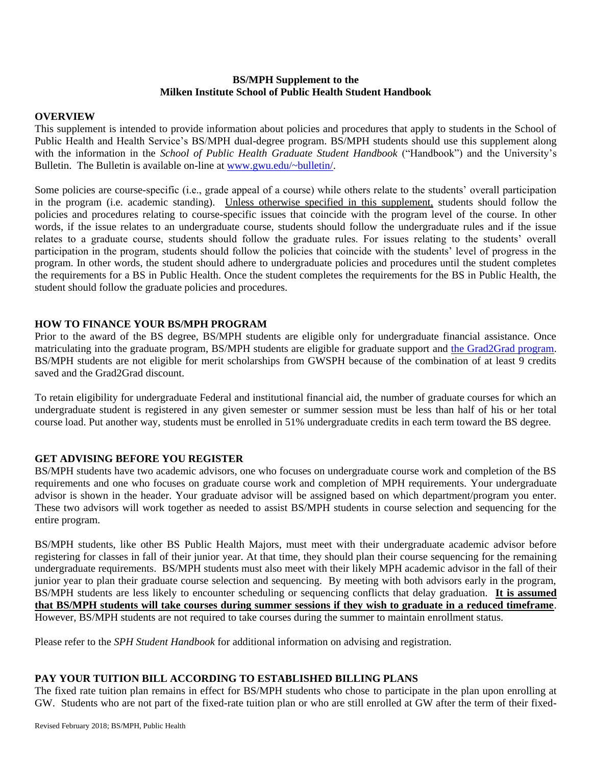#### **BS/MPH Supplement to the Milken Institute School of Public Health Student Handbook**

#### **OVERVIEW**

This supplement is intended to provide information about policies and procedures that apply to students in the School of Public Health and Health Service's BS/MPH dual-degree program. BS/MPH students should use this supplement along with the information in the *School of Public Health Graduate Student Handbook* ("Handbook") and the University's Bulletin. The Bulletin is available on-line at [www.gwu.edu/~bulletin/.](http://www.gwu.edu/~bulletin/)

Some policies are course-specific (i.e., grade appeal of a course) while others relate to the students' overall participation in the program (i.e. academic standing). Unless otherwise specified in this supplement, students should follow the policies and procedures relating to course-specific issues that coincide with the program level of the course. In other words, if the issue relates to an undergraduate course, students should follow the undergraduate rules and if the issue relates to a graduate course, students should follow the graduate rules. For issues relating to the students' overall participation in the program, students should follow the policies that coincide with the students' level of progress in the program. In other words, the student should adhere to undergraduate policies and procedures until the student completes the requirements for a BS in Public Health. Once the student completes the requirements for the BS in Public Health, the student should follow the graduate policies and procedures.

#### **HOW TO FINANCE YOUR BS/MPH PROGRAM**

Prior to the award of the BS degree, BS/MPH students are eligible only for undergraduate financial assistance. Once matriculating into the graduate program, BS/MPH students are eligible for graduate support and [the Grad2Grad program.](https://graduate.admissions.gwu.edu/grad2grad-program) BS/MPH students are not eligible for merit scholarships from GWSPH because of the combination of at least 9 credits saved and the Grad2Grad discount.

To retain eligibility for undergraduate Federal and institutional financial aid, the number of graduate courses for which an undergraduate student is registered in any given semester or summer session must be less than half of his or her total course load. Put another way, students must be enrolled in 51% undergraduate credits in each term toward the BS degree.

#### **GET ADVISING BEFORE YOU REGISTER**

BS/MPH students have two academic advisors, one who focuses on undergraduate course work and completion of the BS requirements and one who focuses on graduate course work and completion of MPH requirements. Your undergraduate advisor is shown in the header. Your graduate advisor will be assigned based on which department/program you enter. These two advisors will work together as needed to assist BS/MPH students in course selection and sequencing for the entire program.

BS/MPH students, like other BS Public Health Majors, must meet with their undergraduate academic advisor before registering for classes in fall of their junior year. At that time, they should plan their course sequencing for the remaining undergraduate requirements. BS/MPH students must also meet with their likely MPH academic advisor in the fall of their junior year to plan their graduate course selection and sequencing. By meeting with both advisors early in the program, BS/MPH students are less likely to encounter scheduling or sequencing conflicts that delay graduation. **It is assumed that BS/MPH students will take courses during summer sessions if they wish to graduate in a reduced timeframe**. However, BS/MPH students are not required to take courses during the summer to maintain enrollment status.

Please refer to the *SPH Student Handbook* for additional information on advising and registration.

#### **PAY YOUR TUITION BILL ACCORDING TO ESTABLISHED BILLING PLANS**

The fixed rate tuition plan remains in effect for BS/MPH students who chose to participate in the plan upon enrolling at GW. Students who are not part of the fixed-rate tuition plan or who are still enrolled at GW after the term of their fixed